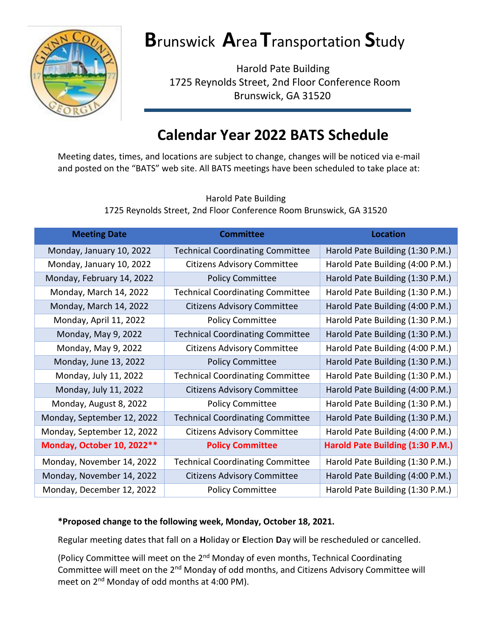

## **B**runswick **A**rea **T**ransportation **S**tudy

 Harold Pate Building 1725 Reynolds Street, 2nd Floor Conference Room Brunswick, GA 31520

## **Calendar Year 2022 BATS Schedule**

Meeting dates, times, and locations are subject to change, changes will be noticed via e-mail and posted on the "BATS" web site. All BATS meetings have been scheduled to take place at:

> Harold Pate Building 1725 Reynolds Street, 2nd Floor Conference Room Brunswick, GA 31520

| <b>Meeting Date</b>        | <b>Committee</b>                        | Location                         |
|----------------------------|-----------------------------------------|----------------------------------|
| Monday, January 10, 2022   | <b>Technical Coordinating Committee</b> | Harold Pate Building (1:30 P.M.) |
| Monday, January 10, 2022   | <b>Citizens Advisory Committee</b>      | Harold Pate Building (4:00 P.M.) |
| Monday, February 14, 2022  | <b>Policy Committee</b>                 | Harold Pate Building (1:30 P.M.) |
| Monday, March 14, 2022     | <b>Technical Coordinating Committee</b> | Harold Pate Building (1:30 P.M.) |
| Monday, March 14, 2022     | <b>Citizens Advisory Committee</b>      | Harold Pate Building (4:00 P.M.) |
| Monday, April 11, 2022     | <b>Policy Committee</b>                 | Harold Pate Building (1:30 P.M.) |
| Monday, May 9, 2022        | <b>Technical Coordinating Committee</b> | Harold Pate Building (1:30 P.M.) |
| Monday, May 9, 2022        | <b>Citizens Advisory Committee</b>      | Harold Pate Building (4:00 P.M.) |
| Monday, June 13, 2022      | <b>Policy Committee</b>                 | Harold Pate Building (1:30 P.M.) |
| Monday, July 11, 2022      | <b>Technical Coordinating Committee</b> | Harold Pate Building (1:30 P.M.) |
| Monday, July 11, 2022      | <b>Citizens Advisory Committee</b>      | Harold Pate Building (4:00 P.M.) |
| Monday, August 8, 2022     | <b>Policy Committee</b>                 | Harold Pate Building (1:30 P.M.) |
| Monday, September 12, 2022 | <b>Technical Coordinating Committee</b> | Harold Pate Building (1:30 P.M.) |
| Monday, September 12, 2022 | <b>Citizens Advisory Committee</b>      | Harold Pate Building (4:00 P.M.) |
| Monday, October 10, 2022** | <b>Policy Committee</b>                 | Harold Pate Building (1:30 P.M.) |
| Monday, November 14, 2022  | <b>Technical Coordinating Committee</b> | Harold Pate Building (1:30 P.M.) |
| Monday, November 14, 2022  | <b>Citizens Advisory Committee</b>      | Harold Pate Building (4:00 P.M.) |
| Monday, December 12, 2022  | <b>Policy Committee</b>                 | Harold Pate Building (1:30 P.M.) |

## **\*Proposed change to the following week, Monday, October 18, 2021.**

Regular meeting dates that fall on a **H**oliday or **E**lection **D**ay will be rescheduled or cancelled.

(Policy Committee will meet on the 2<sup>nd</sup> Monday of even months, Technical Coordinating Committee will meet on the 2<sup>nd</sup> Monday of odd months, and Citizens Advisory Committee will meet on 2<sup>nd</sup> Monday of odd months at 4:00 PM).